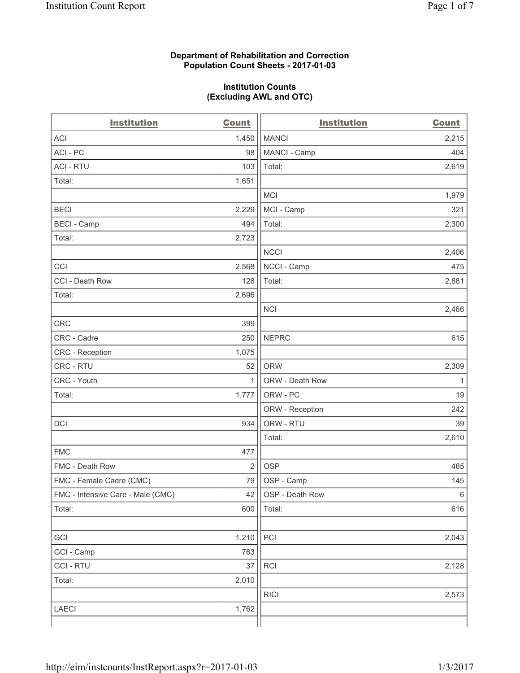### **Department of Rehabilitation and Correction Population Count Sheets - 2017-01-03**

#### **Institution Counts (Excluding AWL and OTC)**

| <b>Institution</b>                | <b>Count</b>   | <b>Institution</b> | <b>Count</b> |
|-----------------------------------|----------------|--------------------|--------------|
| <b>ACI</b>                        | 1,450          | <b>MANCI</b>       | 2,215        |
| ACI - PC                          | 98             | MANCI - Camp       | 404          |
| <b>ACI - RTU</b>                  | 103            | Total:             | 2,619        |
| Total:                            | 1,651          |                    |              |
|                                   |                | <b>MCI</b>         | 1,979        |
| <b>BECI</b>                       | 2,229          | MCI - Camp         | 321          |
| <b>BECI</b> - Camp                | 494            | Total:             | 2,300        |
| Total:                            | 2,723          |                    |              |
|                                   |                | <b>NCCI</b>        | 2,406        |
| CCI                               | 2,568          | NCCI - Camp        | 475          |
| CCI - Death Row                   | 128            | Total:             | 2,881        |
| Total:                            | 2,696          |                    |              |
|                                   |                | <b>NCI</b>         | 2,466        |
| <b>CRC</b>                        | 399            |                    |              |
| CRC - Cadre                       | 250            | <b>NEPRC</b>       | 615          |
| <b>CRC</b> - Reception            | 1,075          |                    |              |
| CRC - RTU                         | 52             | <b>ORW</b>         | 2,309        |
| CRC - Youth                       | $\mathbf{1}$   | ORW - Death Row    | 1            |
| Total:                            | 1,777          | ORW - PC           | 19           |
|                                   |                | ORW - Reception    | 242          |
| DCI                               | 934            | ORW - RTU          | 39           |
|                                   |                | Total:             | 2,610        |
| <b>FMC</b>                        | 477            |                    |              |
| FMC - Death Row                   | $\overline{2}$ | <b>OSP</b>         | 465          |
| FMC - Female Cadre (CMC)          | 79             | OSP - Camp         | 145          |
| FMC - Intensive Care - Male (CMC) | 42             | OSP - Death Row    | 6            |
| Total:                            | 600            | Total:             | 616          |
|                                   |                |                    |              |
| GCI                               | 1,210          | PCI                | 2,043        |
| GCI - Camp                        | 763            |                    |              |
| <b>GCI-RTU</b>                    | 37             | RCI                | 2,128        |
| Total:                            | 2,010          |                    |              |
|                                   |                | <b>RICI</b>        | 2,573        |
| LAECI                             | 1,762          |                    |              |
|                                   |                |                    |              |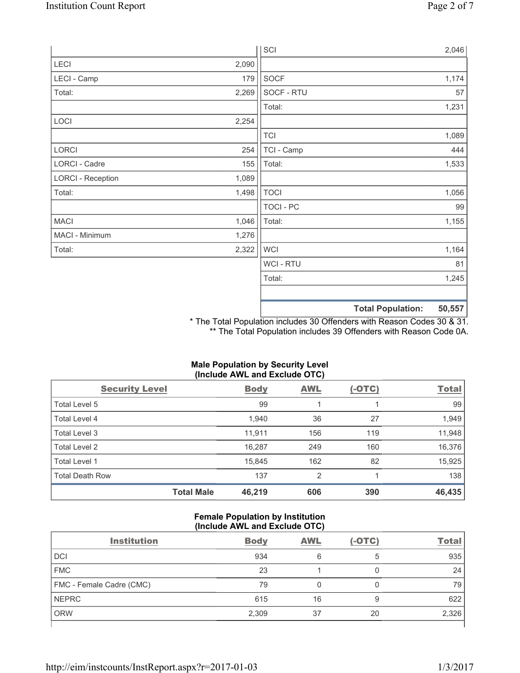|                          |       | SCI            | 2,046                              |
|--------------------------|-------|----------------|------------------------------------|
| LECI                     | 2,090 |                |                                    |
| LECI - Camp              | 179   | SOCF           | 1,174                              |
| Total:                   | 2,269 | SOCF - RTU     | 57                                 |
|                          |       | Total:         | 1,231                              |
| LOCI                     | 2,254 |                |                                    |
|                          |       | <b>TCI</b>     | 1,089                              |
| LORCI                    | 254   | TCI - Camp     | 444                                |
| LORCI - Cadre            | 155   | Total:         | 1,533                              |
| <b>LORCI - Reception</b> | 1,089 |                |                                    |
| Total:                   | 1,498 | <b>TOCI</b>    | 1,056                              |
|                          |       | TOCI - PC      | 99                                 |
| <b>MACI</b>              | 1,046 | Total:         | 1,155                              |
| MACI - Minimum           | 1,276 |                |                                    |
| Total:                   | 2,322 | <b>WCI</b>     | 1,164                              |
|                          |       | <b>WCI-RTU</b> | 81                                 |
|                          |       | Total:         | 1,245                              |
|                          |       |                | 50,557<br><b>Total Population:</b> |

\* The Total Population includes 30 Offenders with Reason Codes 30 & 31. \*\* The Total Population includes 39 Offenders with Reason Code 0A.

| (Include AWL and Exclude OTC) |                   |             |            |               |              |  |
|-------------------------------|-------------------|-------------|------------|---------------|--------------|--|
| <b>Security Level</b>         |                   | <b>Body</b> | <b>AWL</b> | <u>(-OTC)</u> | <b>Total</b> |  |
| Total Level 5                 |                   | 99          |            |               | 99           |  |
| <b>Total Level 4</b>          |                   | 1,940       | 36         | 27            | 1,949        |  |
| Total Level 3                 |                   | 11,911      | 156        | 119           | 11,948       |  |
| Total Level 2                 |                   | 16,287      | 249        | 160           | 16,376       |  |
| Total Level 1                 |                   | 15,845      | 162        | 82            | 15,925       |  |
| Total Death Row               |                   | 137         | 2          |               | 138          |  |
|                               | <b>Total Male</b> | 46,219      | 606        | 390           | 46,435       |  |

# **Male Population by Security Level**

## **Female Population by Institution (Include AWL and Exclude OTC)**

| <b>Institution</b>       | <b>Body</b> | <b>AWL</b> | $(-OTC)$ | <b>Total</b> |
|--------------------------|-------------|------------|----------|--------------|
| <b>DCI</b>               | 934         | 6          | 5        | 935          |
| <b>FMC</b>               | 23          |            |          | 24           |
| FMC - Female Cadre (CMC) | 79          |            | 0        | 79           |
| <b>NEPRC</b>             | 615         | 16         | 9        | 622          |
| <b>ORW</b>               | 2,309       | 37         | 20       | 2,326        |
|                          |             |            |          |              |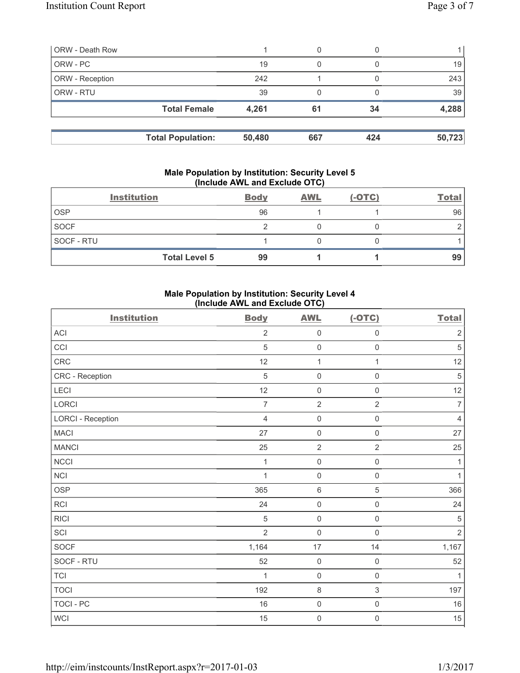| <b>ORW</b> - Death Row |                          |        | 0   |     |        |
|------------------------|--------------------------|--------|-----|-----|--------|
| ORW - PC               |                          | 19     | 0   |     | 19     |
| ORW - Reception        |                          | 242    |     |     | 243    |
| ORW - RTU              |                          | 39     | 0   |     | 39     |
|                        | <b>Total Female</b>      | 4,261  | 61  | 34  | 4,288  |
|                        | <b>Total Population:</b> | 50,480 | 667 | 424 | 50,723 |

### **Male Population by Institution: Security Level 5 (Include AWL and Exclude OTC)**

|             | <b>Institution</b>   | <b>Body</b> | <b>AWL</b> | $(-OTC)$ | <b>Total</b> |
|-------------|----------------------|-------------|------------|----------|--------------|
| <b>OSP</b>  |                      | 96          |            |          | 96           |
| <b>SOCF</b> |                      |             |            |          |              |
| SOCF - RTU  |                      |             |            |          |              |
|             | <b>Total Level 5</b> | 99          |            |          | 99           |

## **Male Population by Institution: Security Level 4 (Include AWL and Exclude OTC)**

| <b>Institution</b>       | <b>Body</b>    | <b>AWL</b>          | $(-OTC)$            | <b>Total</b>   |
|--------------------------|----------------|---------------------|---------------------|----------------|
| ACI                      | $\overline{2}$ | $\mathsf{O}\xspace$ | $\mathbf 0$         | $\sqrt{2}$     |
| CCI                      | 5              | $\mathsf{O}\xspace$ | $\mathsf{O}\xspace$ | $\sqrt{5}$     |
| CRC                      | 12             | $\mathbf{1}$        | $\mathbf{1}$        | 12             |
| CRC - Reception          | $\sqrt{5}$     | $\mathsf{O}\xspace$ | $\mathsf 0$         | $\sqrt{5}$     |
| LECI                     | 12             | $\mathsf{O}\xspace$ | $\mathsf{O}\xspace$ | 12             |
| <b>LORCI</b>             | $\overline{7}$ | $\mathbf 2$         | $\overline{2}$      | $\overline{7}$ |
| <b>LORCI - Reception</b> | $\overline{4}$ | $\mathsf{O}\xspace$ | $\mathsf 0$         | $\overline{4}$ |
| <b>MACI</b>              | 27             | $\mathbf 0$         | $\mathsf{O}\xspace$ | 27             |
| <b>MANCI</b>             | 25             | $\overline{2}$      | $\overline{2}$      | 25             |
| <b>NCCI</b>              | $\mathbf{1}$   | $\mathsf{O}\xspace$ | $\mathsf 0$         | $\mathbf{1}$   |
| <b>NCI</b>               | 1              | $\mathsf{O}\xspace$ | $\mathsf{O}\xspace$ | $\mathbf{1}$   |
| <b>OSP</b>               | 365            | 6                   | 5                   | 366            |
| <b>RCI</b>               | 24             | $\mathsf{O}\xspace$ | $\mathsf{O}\xspace$ | 24             |
| <b>RICI</b>              | $\sqrt{5}$     | $\mathbf 0$         | $\mathsf{O}\xspace$ | $\sqrt{5}$     |
| SCI                      | $\overline{2}$ | $\mathsf{O}\xspace$ | $\mathbf 0$         | $\overline{2}$ |
| SOCF                     | 1,164          | 17                  | 14                  | 1,167          |
| SOCF - RTU               | 52             | $\mathsf{O}\xspace$ | $\mathbf 0$         | 52             |
| <b>TCI</b>               | 1              | $\mathsf{O}\xspace$ | $\mathbf 0$         | 1              |
| <b>TOCI</b>              | 192            | 8                   | 3                   | 197            |
| <b>TOCI - PC</b>         | 16             | $\mathbf 0$         | $\mathsf 0$         | $16\,$         |
| WCI                      | 15             | $\mathsf{O}\xspace$ | $\mathbf 0$         | $15\,$         |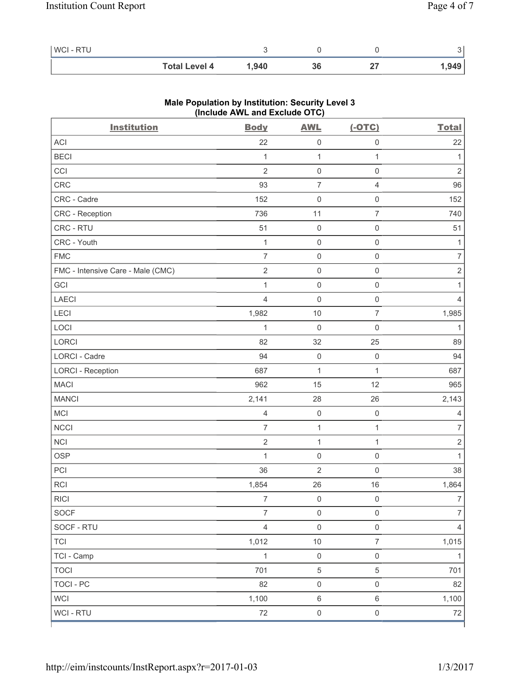| <b>WCI-RTU</b> |                      |       |    |       |
|----------------|----------------------|-------|----|-------|
|                | <b>Total Level 4</b> | 1.940 | კხ | 1,949 |

| <b>Institution</b>                | <b>Body</b>    | <b>AWL</b>          | $(-OTC)$            | <b>Total</b>   |
|-----------------------------------|----------------|---------------------|---------------------|----------------|
| ACI                               | 22             | $\mathsf{O}\xspace$ | $\mathsf{O}\xspace$ | 22             |
| <b>BECI</b>                       | 1              | 1                   | 1                   | 1              |
| CCI                               | $\overline{2}$ | $\mathsf{O}\xspace$ | 0                   | $\sqrt{2}$     |
| CRC                               | 93             | $\overline{7}$      | $\overline{4}$      | 96             |
| CRC - Cadre                       | 152            | $\mathbf 0$         | $\mathsf{O}\xspace$ | 152            |
| CRC - Reception                   | 736            | 11                  | $\overline{7}$      | 740            |
| CRC - RTU                         | 51             | $\mathsf{O}\xspace$ | $\mathsf 0$         | 51             |
| CRC - Youth                       | 1              | $\mathsf{O}\xspace$ | $\mathsf{O}\xspace$ | 1              |
| <b>FMC</b>                        | $\overline{7}$ | $\mathsf{O}\xspace$ | $\mathsf 0$         | $\overline{7}$ |
| FMC - Intensive Care - Male (CMC) | $\sqrt{2}$     | $\mathbf 0$         | $\mathsf{O}\xspace$ | $\sqrt{2}$     |
| GCI                               | $\mathbf{1}$   | $\mathsf{O}\xspace$ | $\mathsf{O}\xspace$ | 1              |
| <b>LAECI</b>                      | $\overline{4}$ | $\mathsf{O}\xspace$ | $\mathsf 0$         | 4              |
| LECI                              | 1,982          | 10                  | 7                   | 1,985          |
| LOCI                              | 1              | $\mathbf 0$         | $\mathsf{O}\xspace$ | $\mathbf{1}$   |
| LORCI                             | 82             | 32                  | 25                  | 89             |
| LORCI - Cadre                     | 94             | $\mathsf{O}\xspace$ | $\mathbf 0$         | 94             |
| <b>LORCI - Reception</b>          | 687            | 1                   | $\mathbf{1}$        | 687            |
| <b>MACI</b>                       | 962            | 15                  | 12                  | 965            |
| <b>MANCI</b>                      | 2,141          | 28                  | 26                  | 2,143          |
| <b>MCI</b>                        | $\overline{4}$ | $\mathsf{O}\xspace$ | $\mathsf 0$         | 4              |
| <b>NCCI</b>                       | $\overline{7}$ | $\mathbf{1}$        | 1                   | $\overline{7}$ |
| $\sf NCI$                         | $\overline{2}$ | $\mathbf{1}$        | $\mathbf{1}$        | $\sqrt{2}$     |
| <b>OSP</b>                        | 1              | $\mathsf{O}\xspace$ | $\mathsf{O}\xspace$ | 1              |
| PCI                               | 36             | $\overline{2}$      | $\mathsf 0$         | 38             |
| <b>RCI</b>                        | 1,854          | 26                  | 16                  | 1,864          |
| <b>RICI</b>                       | $\overline{7}$ | 0                   | 0                   | $\overline{7}$ |
| SOCF                              | $\overline{7}$ | $\mathsf{O}\xspace$ | $\mathsf{O}\xspace$ | 7              |
| SOCF - RTU                        | $\overline{4}$ | $\mathsf{O}\xspace$ | $\mathsf{O}\xspace$ | 4              |
| <b>TCI</b>                        | 1,012          | $10$                | $\overline{7}$      | 1,015          |
| TCI - Camp                        | $\mathbf{1}$   | $\mathsf{O}\xspace$ | $\mathsf{O}\xspace$ | $\mathbf{1}$   |
| <b>TOCI</b>                       | 701            | $\,$ 5 $\,$         | 5                   | 701            |
| <b>TOCI - PC</b>                  | 82             | $\mathsf{O}\xspace$ | $\mathsf{O}\xspace$ | 82             |
| <b>WCI</b>                        | 1,100          | $\,6\,$             | $\,6\,$             | 1,100          |
| WCI - RTU                         | $72\,$         | $\mathsf 0$         | $\mathsf{O}\xspace$ | $72\,$         |

## **Male Population by Institution: Security Level 3 (Include AWL and Exclude OTC)**

ľ

٦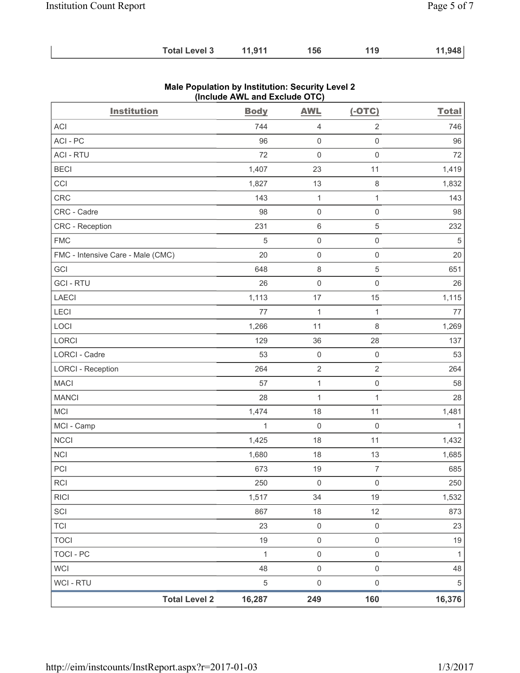| <b>Total Level 3</b> | 11,911 | 156 | 119 | 11,948 |
|----------------------|--------|-----|-----|--------|
|----------------------|--------|-----|-----|--------|

| <b>Institution</b>                | <b>Body</b>  | <b>AWL</b>          | $(-OTC)$            | <b>Total</b> |
|-----------------------------------|--------------|---------------------|---------------------|--------------|
| ACI                               | 744          | $\overline{4}$      | $\sqrt{2}$          | 746          |
| ACI - PC                          | 96           | $\mathsf{O}\xspace$ | $\mathsf{O}\xspace$ | 96           |
| <b>ACI - RTU</b>                  | 72           | $\mathsf{O}\xspace$ | $\mathsf{O}\xspace$ | 72           |
| <b>BECI</b>                       | 1,407        | 23                  | 11                  | 1,419        |
| CCI                               | 1,827        | 13                  | $\,8\,$             | 1,832        |
| <b>CRC</b>                        | 143          | $\mathbf{1}$        | $\mathbf{1}$        | 143          |
| CRC - Cadre                       | 98           | $\mathsf{O}\xspace$ | $\mathsf 0$         | 98           |
| CRC - Reception                   | 231          | $\,6\,$             | $\mathbf 5$         | 232          |
| <b>FMC</b>                        | 5            | $\mathsf{O}\xspace$ | $\mathbf 0$         | $\sqrt{5}$   |
| FMC - Intensive Care - Male (CMC) | 20           | $\mathsf{O}\xspace$ | $\mathsf 0$         | 20           |
| GCI                               | 648          | $\,8\,$             | $\mathbf 5$         | 651          |
| <b>GCI-RTU</b>                    | 26           | $\mathsf{O}\xspace$ | $\mathsf 0$         | 26           |
| <b>LAECI</b>                      | 1,113        | 17                  | 15                  | 1,115        |
| LECI                              | 77           | $\mathbf{1}$        | $\mathbf{1}$        | 77           |
| LOCI                              | 1,266        | 11                  | 8                   | 1,269        |
| LORCI                             | 129          | 36                  | 28                  | 137          |
| <b>LORCI - Cadre</b>              | 53           | $\mathsf{O}\xspace$ | $\mathsf 0$         | 53           |
| <b>LORCI - Reception</b>          | 264          | $\mathbf 2$         | $\overline{2}$      | 264          |
| <b>MACI</b>                       | 57           | $\mathbf{1}$        | $\mathsf{O}\xspace$ | 58           |
| <b>MANCI</b>                      | 28           | $\mathbf{1}$        | $\mathbf{1}$        | 28           |
| <b>MCI</b>                        | 1,474        | 18                  | 11                  | 1,481        |
| MCI - Camp                        | $\mathbf 1$  | $\mathbf 0$         | $\mathsf{O}\xspace$ | $\mathbf{1}$ |
| <b>NCCI</b>                       | 1,425        | 18                  | 11                  | 1,432        |
| NCI                               | 1,680        | 18                  | 13                  | 1,685        |
| PCI                               | 673          | 19                  | $\overline{7}$      | 685          |
| <b>RCI</b>                        | 250          | 0                   | 0                   | 250          |
| <b>RICI</b>                       | 1,517        | 34                  | 19                  | 1,532        |
| SCI                               | 867          | 18                  | 12                  | 873          |
| <b>TCI</b>                        | 23           | $\mathsf 0$         | $\mathsf 0$         | 23           |
| <b>TOCI</b>                       | 19           | $\mathsf{O}\xspace$ | $\mathsf 0$         | 19           |
| <b>TOCI - PC</b>                  | $\mathbf{1}$ | $\mathsf{O}\xspace$ | $\mathsf{O}\xspace$ | $\mathbf{1}$ |
| <b>WCI</b>                        | 48           | $\mathsf{O}\xspace$ | $\mathsf{O}\xspace$ | 48           |
| WCI - RTU                         | $\,$ 5 $\,$  | $\mathsf{O}\xspace$ | $\mathsf{O}\xspace$ | $\,$ 5 $\,$  |
| <b>Total Level 2</b>              | 16,287       | 249                 | 160                 | 16,376       |

## **Male Population by Institution: Security Level 2 (Include AWL and Exclude OTC)**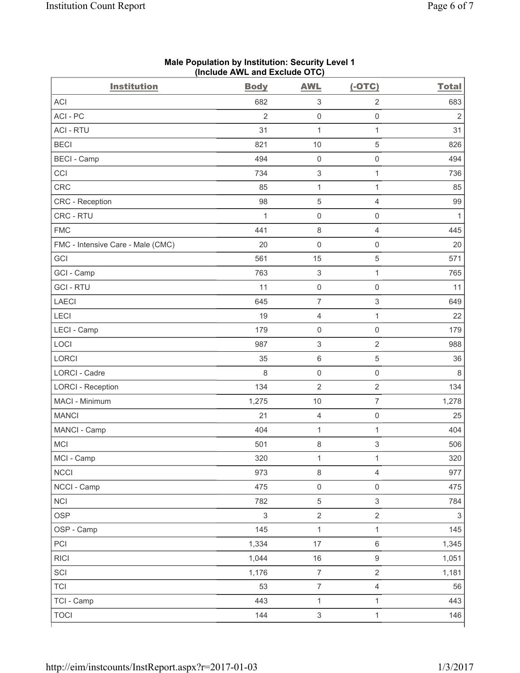| <b>Institution</b>                | <b>Body</b>    | <b>AWL</b>                | $(-OTC)$                  | <b>Total</b>              |
|-----------------------------------|----------------|---------------------------|---------------------------|---------------------------|
| <b>ACI</b>                        | 682            | $\ensuremath{\mathsf{3}}$ | 2                         | 683                       |
| ACI - PC                          | $\overline{2}$ | $\mathsf{O}\xspace$       | $\mathsf 0$               | $\overline{2}$            |
| <b>ACI - RTU</b>                  | 31             | $\mathbf{1}$              | $\mathbf{1}$              | 31                        |
| <b>BECI</b>                       | 821            | 10                        | 5                         | 826                       |
| <b>BECI</b> - Camp                | 494            | $\mathsf{O}\xspace$       | $\mathbf 0$               | 494                       |
| CCI                               | 734            | $\,$ 3 $\,$               | $\mathbf{1}$              | 736                       |
| CRC                               | 85             | $\mathbf{1}$              | $\mathbf{1}$              | 85                        |
| <b>CRC</b> - Reception            | 98             | 5                         | $\overline{4}$            | 99                        |
| CRC - RTU                         | 1              | $\mathsf{O}\xspace$       | $\mathsf{O}\xspace$       | 1                         |
| <b>FMC</b>                        | 441            | $\,8\,$                   | $\overline{4}$            | 445                       |
| FMC - Intensive Care - Male (CMC) | 20             | 0                         | $\mathsf{O}\xspace$       | 20                        |
| GCI                               | 561            | 15                        | 5                         | 571                       |
| GCI - Camp                        | 763            | $\ensuremath{\mathsf{3}}$ | $\mathbf{1}$              | 765                       |
| <b>GCI-RTU</b>                    | 11             | $\mathsf{O}\xspace$       | $\mathsf 0$               | 11                        |
| <b>LAECI</b>                      | 645            | $\overline{7}$            | $\ensuremath{\mathsf{3}}$ | 649                       |
| LECI                              | 19             | 4                         | $\mathbf{1}$              | 22                        |
| LECI - Camp                       | 179            | $\mathsf{O}\xspace$       | $\mathbf 0$               | 179                       |
| LOCI                              | 987            | $\ensuremath{\mathsf{3}}$ | $\overline{2}$            | 988                       |
| LORCI                             | 35             | 6                         | $\sqrt{5}$                | 36                        |
| <b>LORCI - Cadre</b>              | 8              | $\mathsf 0$               | $\mathsf 0$               | 8                         |
| <b>LORCI - Reception</b>          | 134            | $\overline{2}$            | $\overline{2}$            | 134                       |
| MACI - Minimum                    | 1,275          | 10                        | $\overline{7}$            | 1,278                     |
| <b>MANCI</b>                      | 21             | 4                         | $\mathsf 0$               | 25                        |
| MANCI - Camp                      | 404            | $\mathbf{1}$              | 1                         | 404                       |
| <b>MCI</b>                        | 501            | 8                         | 3                         | 506                       |
| MCI - Camp                        | 320            | $\mathbf{1}$              | $\mathbf{1}$              | 320                       |
| <b>NCCI</b>                       | 973            | 8                         | $\overline{4}$            | 977                       |
| NCCI - Camp                       | 475            | $\mathsf{O}\xspace$       | $\mathsf{O}\xspace$       | 475                       |
| <b>NCI</b>                        | 782            | 5                         | $\mathfrak{S}$            | 784                       |
| OSP                               | $\mathsf 3$    | $\overline{2}$            | $\overline{2}$            | $\ensuremath{\mathsf{3}}$ |
| OSP - Camp                        | 145            | $\mathbf{1}$              | $\mathbf{1}$              | 145                       |
| PCI                               | 1,334          | 17                        | $\,6\,$                   | 1,345                     |
| <b>RICI</b>                       | 1,044          | $16\,$                    | $\boldsymbol{9}$          | 1,051                     |
| SCI                               | 1,176          | $\overline{7}$            | $\overline{2}$            | 1,181                     |
| <b>TCI</b>                        | 53             | $\boldsymbol{7}$          | $\overline{4}$            | 56                        |
| TCI - Camp                        | 443            | $\mathbf{1}$              | $\mathbf{1}$              | 443                       |
| <b>TOCI</b>                       | 144            | $\mathsf 3$               | $\mathbf{1}$              | 146                       |

### **Male Population by Institution: Security Level 1 (Include AWL and Exclude OTC)**